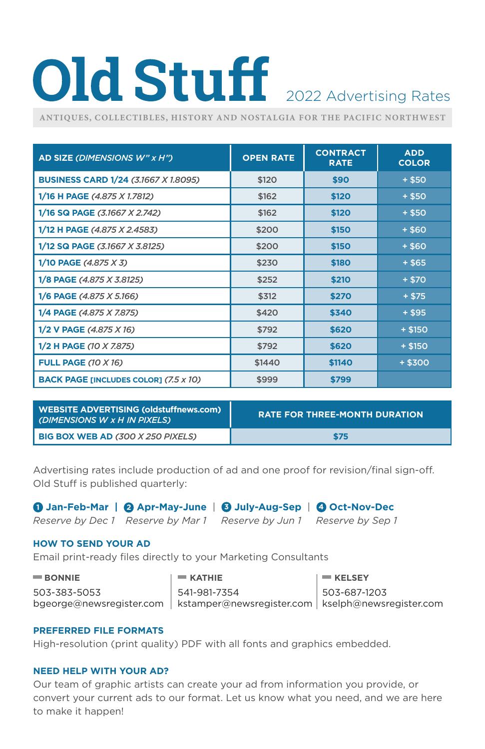# Old Stuff 2022 Advertising Rates

**ANTIQUES, COLLECTIBLES, HISTORY AND NOSTALGIA FOR THE PACIFIC NORTHWEST**

| AD SIZE (DIMENSIONS W" x H")                 | <b>OPEN RATE</b> | <b>CONTRACT</b><br><b>RATE</b> | <b>ADD</b><br><b>COLOR</b> |
|----------------------------------------------|------------------|--------------------------------|----------------------------|
| <b>BUSINESS CARD 1/24 (3.1667 X 1.8095)</b>  | \$120            | \$90                           | $+$ \$50                   |
| 1/16 H PAGE (4.875 X 1.7812)                 | \$162            | \$120                          | $+ $50$                    |
| 1/16 SQ PAGE (3.1667 X 2.742)                | \$162            | \$120                          | $+$ \$50                   |
| 1/12 H PAGE (4.875 X 2.4583)                 | \$200            | \$150                          | $+ $60$                    |
| 1/12 SQ PAGE (3.1667 X 3.8125)               | \$200            | \$150                          | $+ $60$                    |
| 1/10 PAGE (4.875 X 3)                        | \$230            | \$180                          | + \$65                     |
| 1/8 PAGE (4.875 X 3.8125)                    | \$252            | \$210                          | $+ $70$                    |
| 1/6 PAGE (4.875 X 5.166)                     | \$312            | \$270                          | $+$ \$75                   |
| 1/4 PAGE (4.875 X 7.875)                     | \$420            | \$340                          | $+$ \$95                   |
| 1/2 V PAGE (4.875 X 16)                      | \$792            | \$620                          | $+ $150$                   |
| 1/2 H PAGE (10 X 7.875)                      | \$792            | \$620                          | $+ $150$                   |
| <b>FULL PAGE (10 X 16)</b>                   | \$1440           | \$1140                         | $+ $300$                   |
| <b>BACK PAGE [INCLUDES COLOR] (7.5 x 10)</b> | \$999            | \$799                          |                            |

| <b>WEBSITE ADVERTISING (oldstuffnews.com)</b><br>(DIMENSIONS W x H IN PIXELS) | <b>RATE FOR THREE-MONTH DURATION</b> |
|-------------------------------------------------------------------------------|--------------------------------------|
| <b>BIG BOX WEB AD (300 X 250 PIXELS)</b>                                      | \$75                                 |

Advertising rates include production of ad and one proof for revision/final sign-off. Old Stuff is published quarterly:

**1 Jan-Feb-Mar | 2 Apr-May-June** | **3 July-Aug-Sep** | **4 Oct-Nov-Dec**

*Reserve by Dec 1 Reserve by Mar 1 Reserve by Jun 1 Reserve by Sep 1* 

### **HOW TO SEND YOUR AD**

Email print-ready files directly to your Marketing Consultants

| $\blacksquare$ BONNIE | $=$ KATHIE                                                                     | $\mathsf{I}$ $\blacksquare$ KELSEY |
|-----------------------|--------------------------------------------------------------------------------|------------------------------------|
| 503-383-5053          | 541-981-7354                                                                   | 503-687-1203                       |
|                       | bgeorge@newsregister.com   kstamper@newsregister.com   kselph@newsregister.com |                                    |

### **PREFERRED FILE FORMATS**

High-resolution (print quality) PDF with all fonts and graphics embedded.

### **NEED HELP WITH YOUR AD?**

Our team of graphic artists can create your ad from information you provide, or convert your current ads to our format. Let us know what you need, and we are here to make it happen!